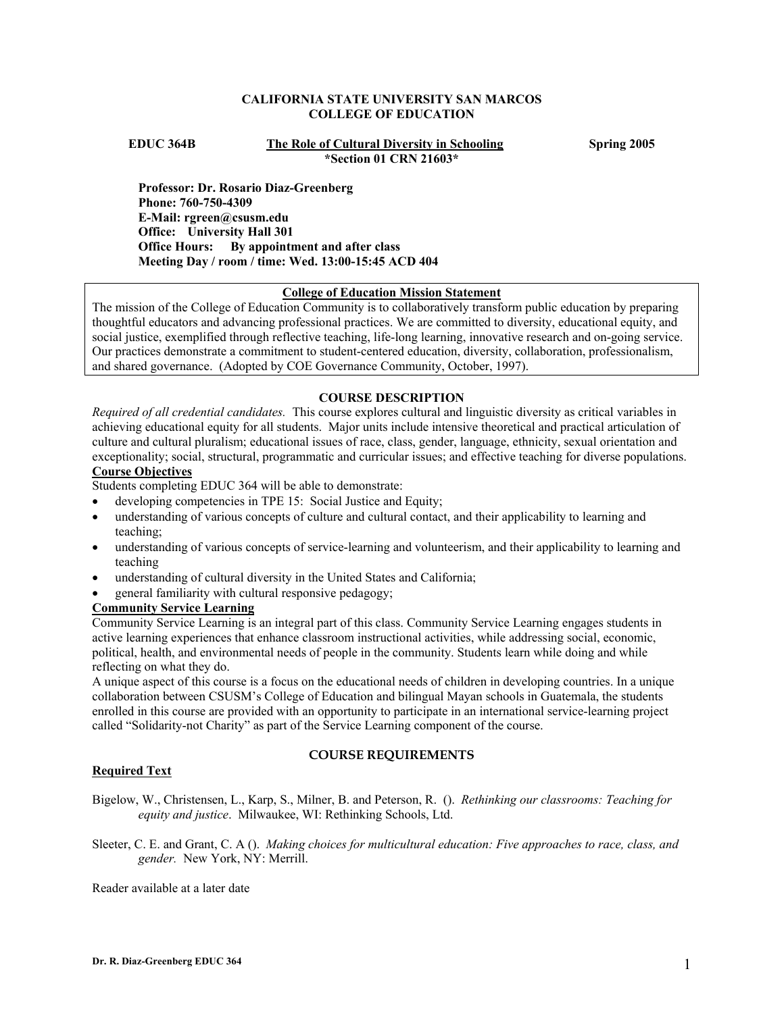## **CALIFORNIA STATE UNIVERSITY SAN MARCOS COLLEGE OF EDUCATION**

**EDUC 364B The Role of Cultural Diversity in Schooling Spring 2005 \*Section 01 CRN 21603\*** 

**Professor: Dr. Rosario Diaz-Greenberg Phone: 760-750-4309 E-Mail: rgreen@csusm.edu Office: University Hall 301 Office Hours: By appointment and after class Meeting Day / room / time: Wed. 13:00-15:45 ACD 404** 

#### **College of Education Mission Statement**

The mission of the College of Education Community is to collaboratively transform public education by preparing thoughtful educators and advancing professional practices. We are committed to diversity, educational equity, and social justice, exemplified through reflective teaching, life-long learning, innovative research and on-going service. Our practices demonstrate a commitment to student-centered education, diversity, collaboration, professionalism, and shared governance. (Adopted by COE Governance Community, October, 1997).

## **COURSE DESCRIPTION**

*Required of all credential candidates.* This course explores cultural and linguistic diversity as critical variables in achieving educational equity for all students. Major units include intensive theoretical and practical articulation of culture and cultural pluralism; educational issues of race, class, gender, language, ethnicity, sexual orientation and exceptionality; social, structural, programmatic and curricular issues; and effective teaching for diverse populations.

# **Course Objectives**

Students completing EDUC 364 will be able to demonstrate:

- developing competencies in TPE 15: Social Justice and Equity;
- understanding of various concepts of culture and cultural contact, and their applicability to learning and teaching;
- understanding of various concepts of service-learning and volunteerism, and their applicability to learning and teaching
- understanding of cultural diversity in the United States and California;
- general familiarity with cultural responsive pedagogy;

# **Community Service Learning**

Community Service Learning is an integral part of this class. Community Service Learning engages students in active learning experiences that enhance classroom instructional activities, while addressing social, economic, political, health, and environmental needs of people in the community. Students learn while doing and while reflecting on what they do.

A unique aspect of this course is a focus on the educational needs of children in developing countries. In a unique collaboration between CSUSM's College of Education and bilingual Mayan schools in Guatemala, the students enrolled in this course are provided with an opportunity to participate in an international service-learning project called "Solidarity-not Charity" as part of the Service Learning component of the course.

## **COURSE REQUIREMENTS**

## **Required Text**

Bigelow, W., Christensen, L., Karp, S., Milner, B. and Peterson, R. (). *Rethinking our classrooms: Teaching for equity and justice*. Milwaukee, WI: Rethinking Schools, Ltd.

Sleeter, C. E. and Grant, C. A (). *Making choices for multicultural education: Five approaches to race, class, and gender.* New York, NY: Merrill.

Reader available at a later date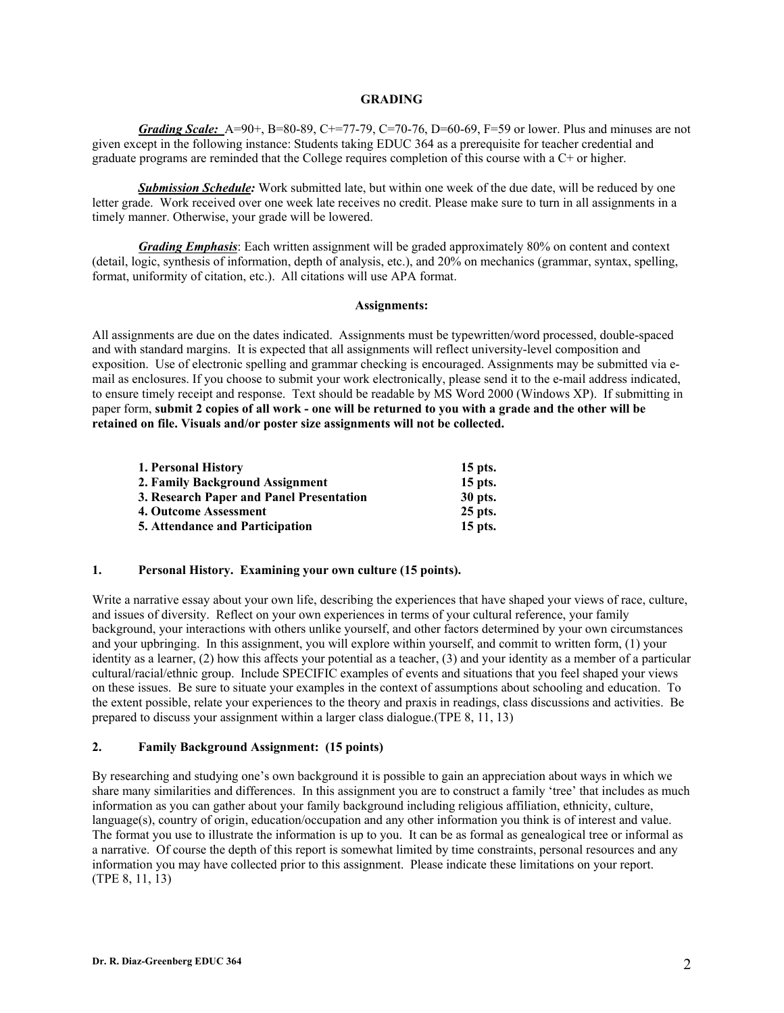## **GRADING**

*Grading Scale:* A=90+, B=80-89, C+=77-79, C=70-76, D=60-69, F=59 or lower. Plus and minuses are not given except in the following instance: Students taking EDUC 364 as a prerequisite for teacher credential and graduate programs are reminded that the College requires completion of this course with a C+ or higher.

 *Submission Schedule:* Work submitted late, but within one week of the due date, will be reduced by one letter grade. Work received over one week late receives no credit. Please make sure to turn in all assignments in a timely manner. Otherwise, your grade will be lowered.

*Grading Emphasis*: Each written assignment will be graded approximately 80% on content and context (detail, logic, synthesis of information, depth of analysis, etc.), and 20% on mechanics (grammar, syntax, spelling, format, uniformity of citation, etc.). All citations will use APA format.

#### **Assignments:**

All assignments are due on the dates indicated. Assignments must be typewritten/word processed, double-spaced and with standard margins. It is expected that all assignments will reflect university-level composition and exposition. Use of electronic spelling and grammar checking is encouraged. Assignments may be submitted via email as enclosures. If you choose to submit your work electronically, please send it to the e-mail address indicated, to ensure timely receipt and response. Text should be readable by MS Word 2000 (Windows XP). If submitting in paper form, **submit 2 copies of all work - one will be returned to you with a grade and the other will be retained on file. Visuals and/or poster size assignments will not be collected.** 

| 1. Personal History                      | $15$ pts. |
|------------------------------------------|-----------|
| 2. Family Background Assignment          | $15$ pts. |
| 3. Research Paper and Panel Presentation | 30 pts.   |
| 4. Outcome Assessment                    | $25$ pts. |
| <b>5. Attendance and Participation</b>   | $15$ pts. |

## **1. Personal History. Examining your own culture (15 points).**

Write a narrative essay about your own life, describing the experiences that have shaped your views of race, culture, and issues of diversity. Reflect on your own experiences in terms of your cultural reference, your family background, your interactions with others unlike yourself, and other factors determined by your own circumstances and your upbringing. In this assignment, you will explore within yourself, and commit to written form, (1) your identity as a learner, (2) how this affects your potential as a teacher, (3) and your identity as a member of a particular cultural/racial/ethnic group. Include SPECIFIC examples of events and situations that you feel shaped your views on these issues. Be sure to situate your examples in the context of assumptions about schooling and education. To the extent possible, relate your experiences to the theory and praxis in readings, class discussions and activities. Be prepared to discuss your assignment within a larger class dialogue.(TPE 8, 11, 13)

## **2. Family Background Assignment: (15 points)**

By researching and studying one's own background it is possible to gain an appreciation about ways in which we share many similarities and differences. In this assignment you are to construct a family 'tree' that includes as much information as you can gather about your family background including religious affiliation, ethnicity, culture, language(s), country of origin, education/occupation and any other information you think is of interest and value. The format you use to illustrate the information is up to you. It can be as formal as genealogical tree or informal as a narrative. Of course the depth of this report is somewhat limited by time constraints, personal resources and any information you may have collected prior to this assignment. Please indicate these limitations on your report. (TPE 8, 11, 13)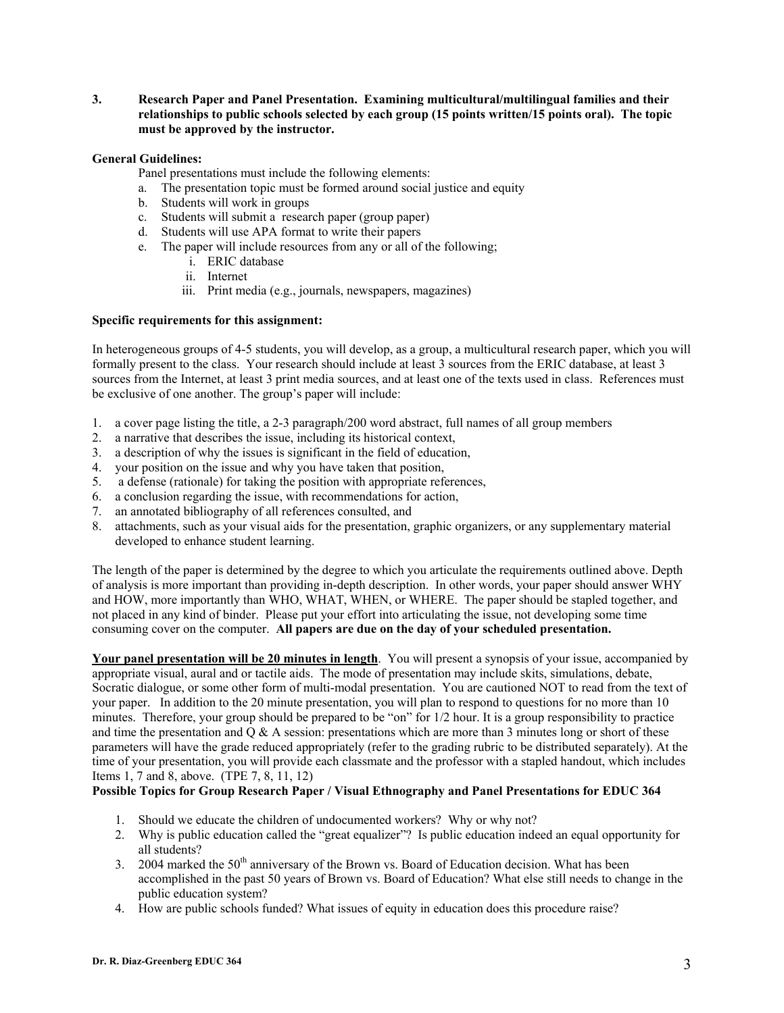**3. Research Paper and Panel Presentation. Examining multicultural/multilingual families and their relationships to public schools selected by each group (15 points written/15 points oral). The topic must be approved by the instructor.** 

## **General Guidelines:**

Panel presentations must include the following elements:

- a. The presentation topic must be formed around social justice and equity
- b. Students will work in groups
- c. Students will submit a research paper (group paper)
- d. Students will use APA format to write their papers
- e. The paper will include resources from any or all of the following;
	- i. ERIC database
	- ii. Internet
	- iii. Print media (e.g., journals, newspapers, magazines)

## **Specific requirements for this assignment:**

In heterogeneous groups of 4-5 students, you will develop, as a group, a multicultural research paper, which you will formally present to the class. Your research should include at least 3 sources from the ERIC database, at least 3 sources from the Internet, at least 3 print media sources, and at least one of the texts used in class. References must be exclusive of one another. The group's paper will include:

- 1. a cover page listing the title, a 2-3 paragraph/200 word abstract, full names of all group members
- 2. a narrative that describes the issue, including its historical context,
- 3. a description of why the issues is significant in the field of education,
- 4. your position on the issue and why you have taken that position,
- 5. a defense (rationale) for taking the position with appropriate references,
- 6. a conclusion regarding the issue, with recommendations for action,
- 7. an annotated bibliography of all references consulted, and
- 8. attachments, such as your visual aids for the presentation, graphic organizers, or any supplementary material developed to enhance student learning.

The length of the paper is determined by the degree to which you articulate the requirements outlined above. Depth of analysis is more important than providing in-depth description. In other words, your paper should answer WHY and HOW, more importantly than WHO, WHAT, WHEN, or WHERE. The paper should be stapled together, and not placed in any kind of binder. Please put your effort into articulating the issue, not developing some time consuming cover on the computer. **All papers are due on the day of your scheduled presentation.** 

**Your panel presentation will be 20 minutes in length**. You will present a synopsis of your issue, accompanied by appropriate visual, aural and or tactile aids. The mode of presentation may include skits, simulations, debate, Socratic dialogue, or some other form of multi-modal presentation. You are cautioned NOT to read from the text of your paper. In addition to the 20 minute presentation, you will plan to respond to questions for no more than 10 minutes. Therefore, your group should be prepared to be "on" for 1/2 hour. It is a group responsibility to practice and time the presentation and  $Q \& A$  session: presentations which are more than 3 minutes long or short of these parameters will have the grade reduced appropriately (refer to the grading rubric to be distributed separately). At the time of your presentation, you will provide each classmate and the professor with a stapled handout, which includes Items 1, 7 and 8, above. (TPE 7, 8, 11, 12)

## **Possible Topics for Group Research Paper / Visual Ethnography and Panel Presentations for EDUC 364**

- 1. Should we educate the children of undocumented workers? Why or why not?
- 2. Why is public education called the "great equalizer"? Is public education indeed an equal opportunity for all students?
- 3. 2004 marked the  $50<sup>th</sup>$  anniversary of the Brown vs. Board of Education decision. What has been accomplished in the past 50 years of Brown vs. Board of Education? What else still needs to change in the public education system?
- 4. How are public schools funded? What issues of equity in education does this procedure raise?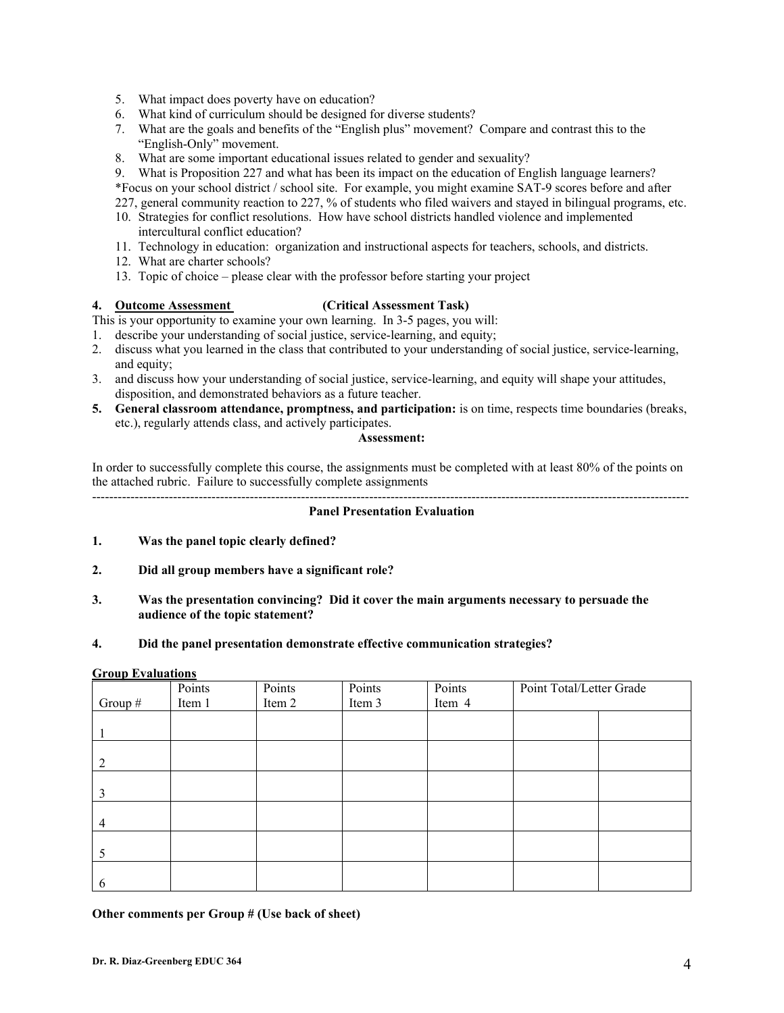- 5. What impact does poverty have on education?
- 6. What kind of curriculum should be designed for diverse students?
- 7. What are the goals and benefits of the "English plus" movement? Compare and contrast this to the "English-Only" movement.
- 8. What are some important educational issues related to gender and sexuality?
- 9. What is Proposition 227 and what has been its impact on the education of English language learners?

\*Focus on your school district / school site. For example, you might examine SAT-9 scores before and after

227, general community reaction to 227, % of students who filed waivers and stayed in bilingual programs, etc.

- 10. Strategies for conflict resolutions. How have school districts handled violence and implemented intercultural conflict education?
- 11. Technology in education: organization and instructional aspects for teachers, schools, and districts.
- 12. What are charter schools?
- 13. Topic of choice please clear with the professor before starting your project

## **4. Outcome Assessment (Critical Assessment Task)**

This is your opportunity to examine your own learning. In 3-5 pages, you will:

- 1. describe your understanding of social justice, service-learning, and equity;
- 2. discuss what you learned in the class that contributed to your understanding of social justice, service-learning, and equity;
- 3. and discuss how your understanding of social justice, service-learning, and equity will shape your attitudes, disposition, and demonstrated behaviors as a future teacher.
- **5. General classroom attendance, promptness, and participation:** is on time, respects time boundaries (breaks, etc.), regularly attends class, and actively participates.

## **Assessment:**

In order to successfully complete this course, the assignments must be completed with at least 80% of the points on the attached rubric. Failure to successfully complete assignments --------------------------------------------------------------------------------------------------------------------------------------------

## **Panel Presentation Evaluation**

- **1. Was the panel topic clearly defined?**
- **2. Did all group members have a significant role?**
- **3. Was the presentation convincing? Did it cover the main arguments necessary to persuade the audience of the topic statement?**

## **4. Did the panel presentation demonstrate effective communication strategies?**

## **Group Evaluations**

|                | Points | Points | Points | Points | Point Total/Letter Grade |  |
|----------------|--------|--------|--------|--------|--------------------------|--|
| Group $#$      | Item 1 | Item 2 | Item 3 | Item 4 |                          |  |
|                |        |        |        |        |                          |  |
|                |        |        |        |        |                          |  |
|                |        |        |        |        |                          |  |
| 2              |        |        |        |        |                          |  |
|                |        |        |        |        |                          |  |
| 3              |        |        |        |        |                          |  |
|                |        |        |        |        |                          |  |
| $\overline{4}$ |        |        |        |        |                          |  |
|                |        |        |        |        |                          |  |
| 5              |        |        |        |        |                          |  |
|                |        |        |        |        |                          |  |
| -6             |        |        |        |        |                          |  |

## **Other comments per Group # (Use back of sheet)**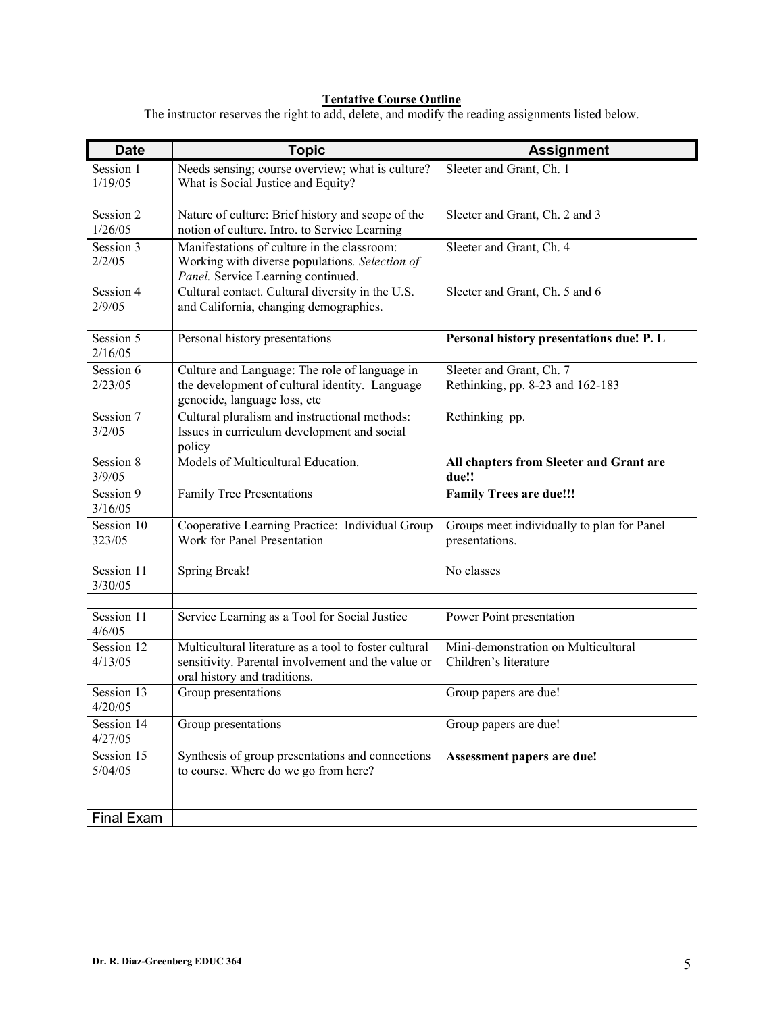## **Tentative Course Outline**

The instructor reserves the right to add, delete, and modify the reading assignments listed below.

| <b>Date</b>           | <b>Topic</b>                                                                                                                                | <b>Assignment</b>                                            |  |  |
|-----------------------|---------------------------------------------------------------------------------------------------------------------------------------------|--------------------------------------------------------------|--|--|
| Session 1<br>1/19/05  | Needs sensing; course overview; what is culture?<br>What is Social Justice and Equity?                                                      | Sleeter and Grant, Ch. 1                                     |  |  |
| Session 2<br>1/26/05  | Nature of culture: Brief history and scope of the<br>notion of culture. Intro. to Service Learning                                          | Sleeter and Grant, Ch. 2 and 3                               |  |  |
| Session 3<br>2/2/05   | Manifestations of culture in the classroom:<br>Working with diverse populations. Selection of<br>Panel. Service Learning continued.         | Sleeter and Grant, Ch. 4                                     |  |  |
| Session 4<br>2/9/05   | Cultural contact. Cultural diversity in the U.S.<br>and California, changing demographics.                                                  | Sleeter and Grant, Ch. 5 and 6                               |  |  |
| Session 5<br>2/16/05  | Personal history presentations                                                                                                              | Personal history presentations due! P. L                     |  |  |
| Session 6<br>2/23/05  | Culture and Language: The role of language in<br>the development of cultural identity. Language<br>genocide, language loss, etc             | Sleeter and Grant, Ch. 7<br>Rethinking, pp. 8-23 and 162-183 |  |  |
| Session 7<br>3/2/05   | Cultural pluralism and instructional methods:<br>Issues in curriculum development and social<br>policy                                      | Rethinking pp.                                               |  |  |
| Session 8<br>3/9/05   | Models of Multicultural Education.                                                                                                          | All chapters from Sleeter and Grant are<br>due!!             |  |  |
| Session 9<br>3/16/05  | Family Tree Presentations                                                                                                                   | <b>Family Trees are due!!!</b>                               |  |  |
| Session 10<br>323/05  | Cooperative Learning Practice: Individual Group<br>Work for Panel Presentation                                                              | Groups meet individually to plan for Panel<br>presentations. |  |  |
| Session 11<br>3/30/05 | <b>Spring Break!</b>                                                                                                                        | No classes                                                   |  |  |
| Session 11<br>4/6/05  | Service Learning as a Tool for Social Justice                                                                                               | Power Point presentation                                     |  |  |
| Session 12<br>4/13/05 | Multicultural literature as a tool to foster cultural<br>sensitivity. Parental involvement and the value or<br>oral history and traditions. | Mini-demonstration on Multicultural<br>Children's literature |  |  |
| Session 13<br>4/20/05 | Group presentations                                                                                                                         | Group papers are due!                                        |  |  |
| Session 14<br>4/27/05 | Group presentations                                                                                                                         | Group papers are due!                                        |  |  |
| Session 15<br>5/04/05 | Synthesis of group presentations and connections<br>to course. Where do we go from here?                                                    | Assessment papers are due!                                   |  |  |
| Final Exam            |                                                                                                                                             |                                                              |  |  |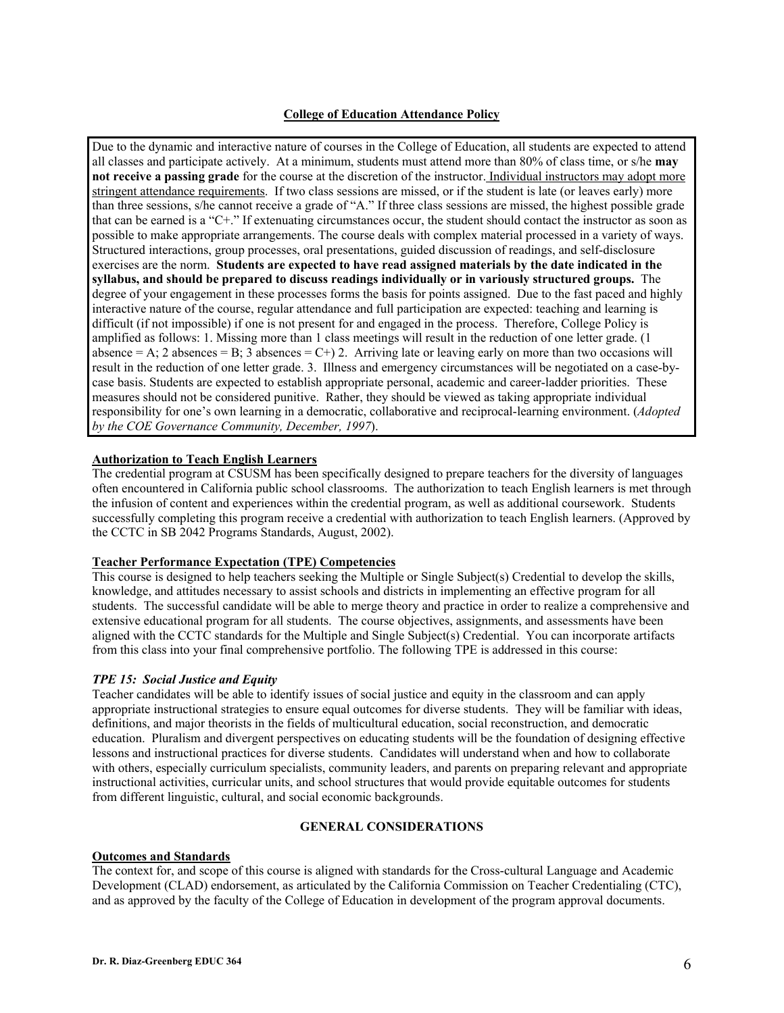## **College of Education Attendance Policy**

Due to the dynamic and interactive nature of courses in the College of Education, all students are expected to attend all classes and participate actively. At a minimum, students must attend more than 80% of class time, or s/he **may not receive a passing grade** for the course at the discretion of the instructor. Individual instructors may adopt more stringent attendance requirements. If two class sessions are missed, or if the student is late (or leaves early) more than three sessions, s/he cannot receive a grade of "A." If three class sessions are missed, the highest possible grade that can be earned is a "C+." If extenuating circumstances occur, the student should contact the instructor as soon as possible to make appropriate arrangements. The course deals with complex material processed in a variety of ways. Structured interactions, group processes, oral presentations, guided discussion of readings, and self-disclosure exercises are the norm. **Students are expected to have read assigned materials by the date indicated in the syllabus, and should be prepared to discuss readings individually or in variously structured groups.** The degree of your engagement in these processes forms the basis for points assigned. Due to the fast paced and highly interactive nature of the course, regular attendance and full participation are expected: teaching and learning is difficult (if not impossible) if one is not present for and engaged in the process. Therefore, College Policy is amplified as follows: 1. Missing more than 1 class meetings will result in the reduction of one letter grade. (1 absence = A; 2 absences = B; 3 absences = C+) 2. Arriving late or leaving early on more than two occasions will result in the reduction of one letter grade. 3. Illness and emergency circumstances will be negotiated on a case-bycase basis. Students are expected to establish appropriate personal, academic and career-ladder priorities. These measures should not be considered punitive. Rather, they should be viewed as taking appropriate individual responsibility for one's own learning in a democratic, collaborative and reciprocal-learning environment. (*Adopted by the COE Governance Community, December, 1997*).

## **Authorization to Teach English Learners**

The credential program at CSUSM has been specifically designed to prepare teachers for the diversity of languages often encountered in California public school classrooms. The authorization to teach English learners is met through the infusion of content and experiences within the credential program, as well as additional coursework. Students successfully completing this program receive a credential with authorization to teach English learners. (Approved by the CCTC in SB 2042 Programs Standards, August, 2002).

## **Teacher Performance Expectation (TPE) Competencies**

This course is designed to help teachers seeking the Multiple or Single Subject(s) Credential to develop the skills, knowledge, and attitudes necessary to assist schools and districts in implementing an effective program for all students. The successful candidate will be able to merge theory and practice in order to realize a comprehensive and extensive educational program for all students. The course objectives, assignments, and assessments have been aligned with the CCTC standards for the Multiple and Single Subject(s) Credential. You can incorporate artifacts from this class into your final comprehensive portfolio. The following TPE is addressed in this course:

## *TPE 15: Social Justice and Equity*

Teacher candidates will be able to identify issues of social justice and equity in the classroom and can apply appropriate instructional strategies to ensure equal outcomes for diverse students. They will be familiar with ideas, definitions, and major theorists in the fields of multicultural education, social reconstruction, and democratic education. Pluralism and divergent perspectives on educating students will be the foundation of designing effective lessons and instructional practices for diverse students. Candidates will understand when and how to collaborate with others, especially curriculum specialists, community leaders, and parents on preparing relevant and appropriate instructional activities, curricular units, and school structures that would provide equitable outcomes for students from different linguistic, cultural, and social economic backgrounds.

## **GENERAL CONSIDERATIONS**

#### **Outcomes and Standards**

The context for, and scope of this course is aligned with standards for the Cross-cultural Language and Academic Development (CLAD) endorsement, as articulated by the California Commission on Teacher Credentialing (CTC), and as approved by the faculty of the College of Education in development of the program approval documents.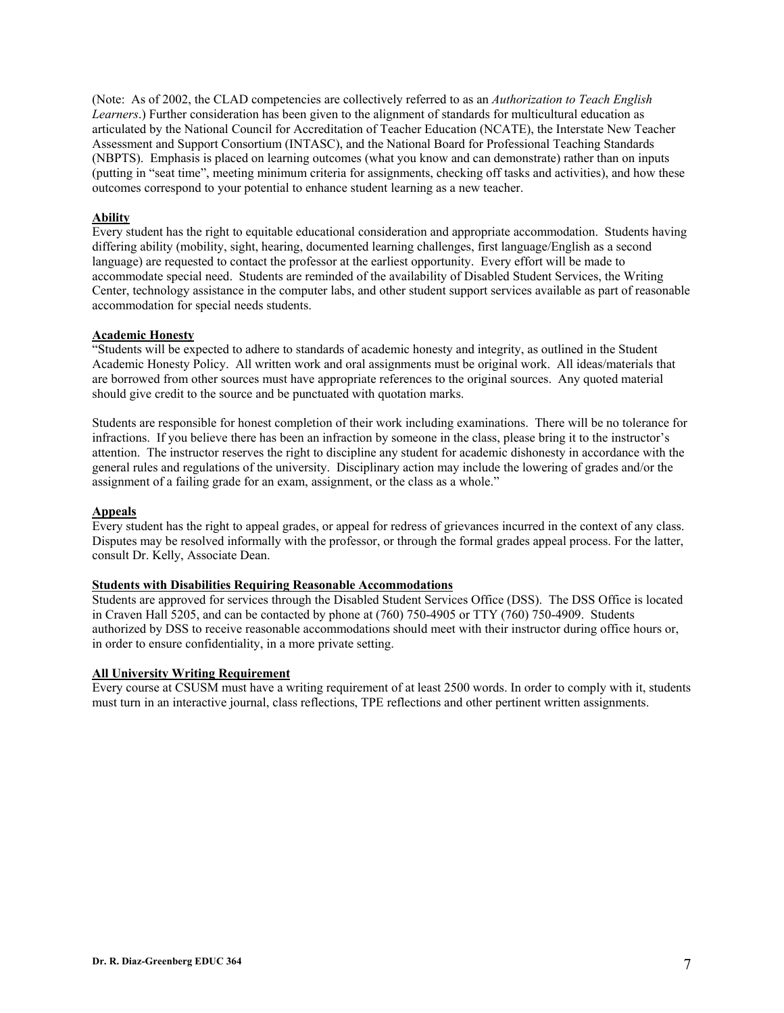(Note: As of 2002, the CLAD competencies are collectively referred to as an *Authorization to Teach English Learners*.) Further consideration has been given to the alignment of standards for multicultural education as articulated by the National Council for Accreditation of Teacher Education (NCATE), the Interstate New Teacher Assessment and Support Consortium (INTASC), and the National Board for Professional Teaching Standards (NBPTS). Emphasis is placed on learning outcomes (what you know and can demonstrate) rather than on inputs (putting in "seat time", meeting minimum criteria for assignments, checking off tasks and activities), and how these outcomes correspond to your potential to enhance student learning as a new teacher.

## **Ability**

Every student has the right to equitable educational consideration and appropriate accommodation. Students having differing ability (mobility, sight, hearing, documented learning challenges, first language/English as a second language) are requested to contact the professor at the earliest opportunity. Every effort will be made to accommodate special need. Students are reminded of the availability of Disabled Student Services, the Writing Center, technology assistance in the computer labs, and other student support services available as part of reasonable accommodation for special needs students.

# **Academic Honesty**

"Students will be expected to adhere to standards of academic honesty and integrity, as outlined in the Student Academic Honesty Policy. All written work and oral assignments must be original work. All ideas/materials that are borrowed from other sources must have appropriate references to the original sources. Any quoted material should give credit to the source and be punctuated with quotation marks.

Students are responsible for honest completion of their work including examinations. There will be no tolerance for infractions. If you believe there has been an infraction by someone in the class, please bring it to the instructor's attention. The instructor reserves the right to discipline any student for academic dishonesty in accordance with the general rules and regulations of the university. Disciplinary action may include the lowering of grades and/or the assignment of a failing grade for an exam, assignment, or the class as a whole."

#### **Appeals**

Every student has the right to appeal grades, or appeal for redress of grievances incurred in the context of any class. Disputes may be resolved informally with the professor, or through the formal grades appeal process. For the latter, consult Dr. Kelly, Associate Dean.

#### **Students with Disabilities Requiring Reasonable Accommodations**

Students are approved for services through the Disabled Student Services Office (DSS). The DSS Office is located in Craven Hall 5205, and can be contacted by phone at (760) 750-4905 or TTY (760) 750-4909. Students authorized by DSS to receive reasonable accommodations should meet with their instructor during office hours or, in order to ensure confidentiality, in a more private setting.

## **All University Writing Requirement**

Every course at CSUSM must have a writing requirement of at least 2500 words. In order to comply with it, students must turn in an interactive journal, class reflections, TPE reflections and other pertinent written assignments.